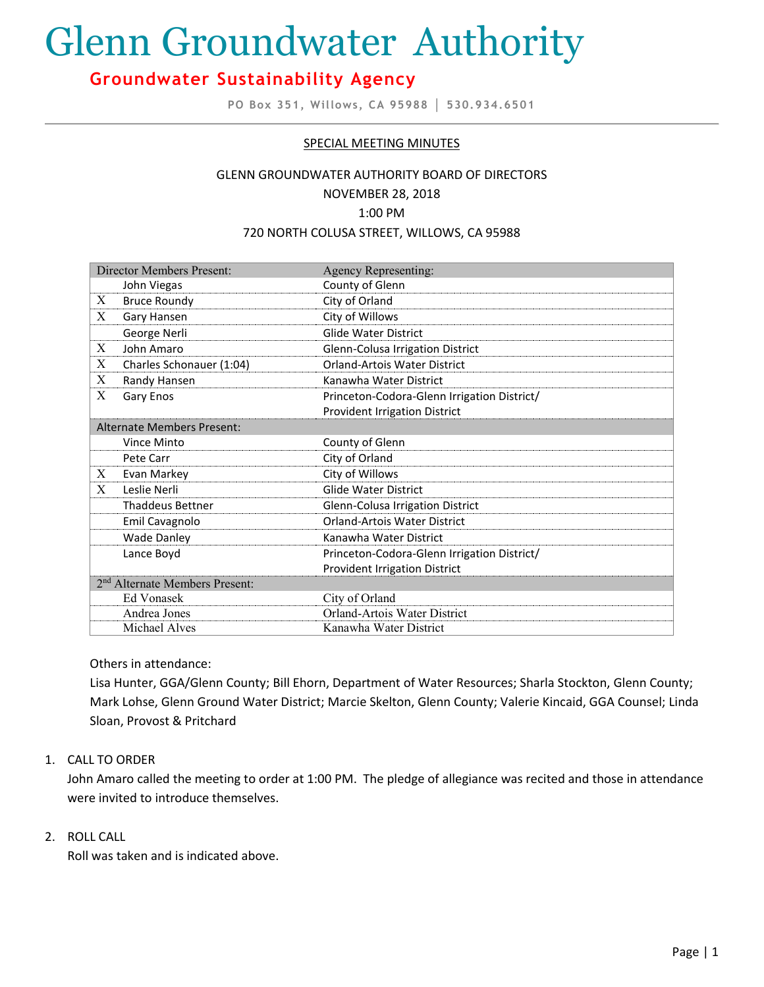# Glenn Groundwater Authority

# **Groundwater Sustainability Agency**

**PO Box 351, Willows, CA 95988 │ 530.934.6501**

# SPECIAL MEETING MINUTES

#### GLENN GROUNDWATER AUTHORITY BOARD OF DIRECTORS

#### NOVEMBER 28, 2018

#### 1:00 PM

#### 720 NORTH COLUSA STREET, WILLOWS, CA 95988

| Director Members Present:                  |                          | Agency Representing:                        |
|--------------------------------------------|--------------------------|---------------------------------------------|
|                                            | John Viegas              | County of Glenn                             |
| X                                          | <b>Bruce Roundy</b>      | City of Orland                              |
| X                                          | Gary Hansen              | City of Willows                             |
|                                            | George Nerli             | <b>Glide Water District</b>                 |
| X                                          | John Amaro               | Glenn-Colusa Irrigation District            |
| X                                          | Charles Schonauer (1:04) | <b>Orland-Artois Water District</b>         |
| X                                          | Randy Hansen             | Kanawha Water District                      |
| X                                          | Gary Enos                | Princeton-Codora-Glenn Irrigation District/ |
|                                            |                          | <b>Provident Irrigation District</b>        |
| <b>Alternate Members Present:</b>          |                          |                                             |
|                                            | Vince Minto              | County of Glenn                             |
|                                            | Pete Carr                | City of Orland                              |
| X                                          | Evan Markey              | City of Willows                             |
| X                                          | Leslie Nerli             | <b>Glide Water District</b>                 |
|                                            | <b>Thaddeus Bettner</b>  | Glenn-Colusa Irrigation District            |
|                                            | Emil Cavagnolo           | <b>Orland-Artois Water District</b>         |
|                                            | <b>Wade Danley</b>       | Kanawha Water District                      |
|                                            | Lance Boyd               | Princeton-Codora-Glenn Irrigation District/ |
|                                            |                          | <b>Provident Irrigation District</b>        |
| 2 <sup>nd</sup> Alternate Members Present: |                          |                                             |
|                                            | Ed Vonasek               | City of Orland                              |
|                                            | Andrea Jones             | Orland-Artois Water District                |
|                                            | Michael Alves            | Kanawha Water District                      |

Others in attendance:

Lisa Hunter, GGA/Glenn County; Bill Ehorn, Department of Water Resources; Sharla Stockton, Glenn County; Mark Lohse, Glenn Ground Water District; Marcie Skelton, Glenn County; Valerie Kincaid, GGA Counsel; Linda Sloan, Provost & Pritchard

# 1. CALL TO ORDER

John Amaro called the meeting to order at 1:00 PM. The pledge of allegiance was recited and those in attendance were invited to introduce themselves.

# 2. ROLL CALL

Roll was taken and is indicated above.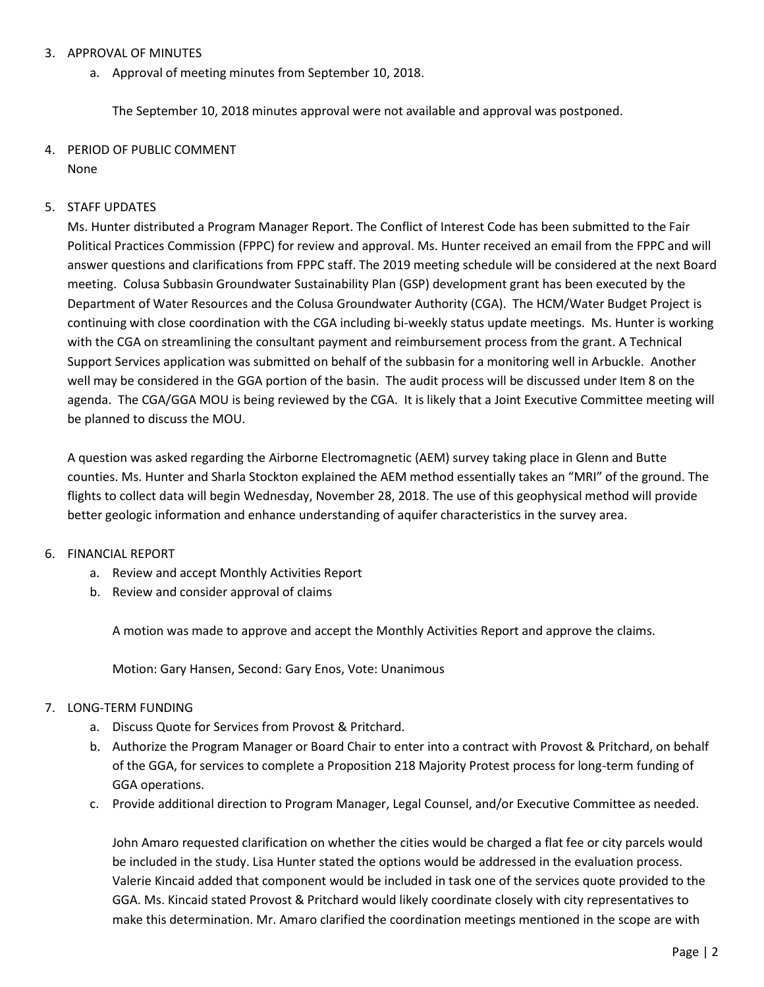# 3. APPROVAL OF MINUTES

a. Approval of meeting minutes from September 10, 2018.

The September 10, 2018 minutes approval were not available and approval was postponed.

#### 4. PERIOD OF PUBLIC COMMENT None

## 5. STAFF UPDATES

Ms. Hunter distributed a Program Manager Report. The Conflict of Interest Code has been submitted to the Fair Political Practices Commission (FPPC) for review and approval. Ms. Hunter received an email from the FPPC and will answer questions and clarifications from FPPC staff. The 2019 meeting schedule will be considered at the next Board meeting. Colusa Subbasin Groundwater Sustainability Plan (GSP) development grant has been executed by the Department of Water Resources and the Colusa Groundwater Authority (CGA). The HCM/Water Budget Project is continuing with close coordination with the CGA including bi-weekly status update meetings. Ms. Hunter is working with the CGA on streamlining the consultant payment and reimbursement process from the grant. A Technical Support Services application was submitted on behalf of the subbasin for a monitoring well in Arbuckle. Another well may be considered in the GGA portion of the basin. The audit process will be discussed under Item 8 on the agenda. The CGA/GGA MOU is being reviewed by the CGA. It is likely that a Joint Executive Committee meeting will be planned to discuss the MOU.

A question was asked regarding the Airborne Electromagnetic (AEM) survey taking place in Glenn and Butte counties. Ms. Hunter and Sharla Stockton explained the AEM method essentially takes an "MRI" of the ground. The flights to collect data will begin Wednesday, November 28, 2018. The use of this geophysical method will provide better geologic information and enhance understanding of aquifer characteristics in the survey area.

# 6. FINANCIAL REPORT

- a. Review and accept Monthly Activities Report
- b. Review and consider approval of claims

A motion was made to approve and accept the Monthly Activities Report and approve the claims.

Motion: Gary Hansen, Second: Gary Enos, Vote: Unanimous

# 7. LONG-TERM FUNDING

- a. Discuss Quote for Services from Provost & Pritchard.
- b. Authorize the Program Manager or Board Chair to enter into a contract with Provost & Pritchard, on behalf of the GGA, for services to complete a Proposition 218 Majority Protest process for long-term funding of GGA operations.
- c. Provide additional direction to Program Manager, Legal Counsel, and/or Executive Committee as needed.

John Amaro requested clarification on whether the cities would be charged a flat fee or city parcels would be included in the study. Lisa Hunter stated the options would be addressed in the evaluation process. Valerie Kincaid added that component would be included in task one of the services quote provided to the GGA. Ms. Kincaid stated Provost & Pritchard would likely coordinate closely with city representatives to make this determination. Mr. Amaro clarified the coordination meetings mentioned in the scope are with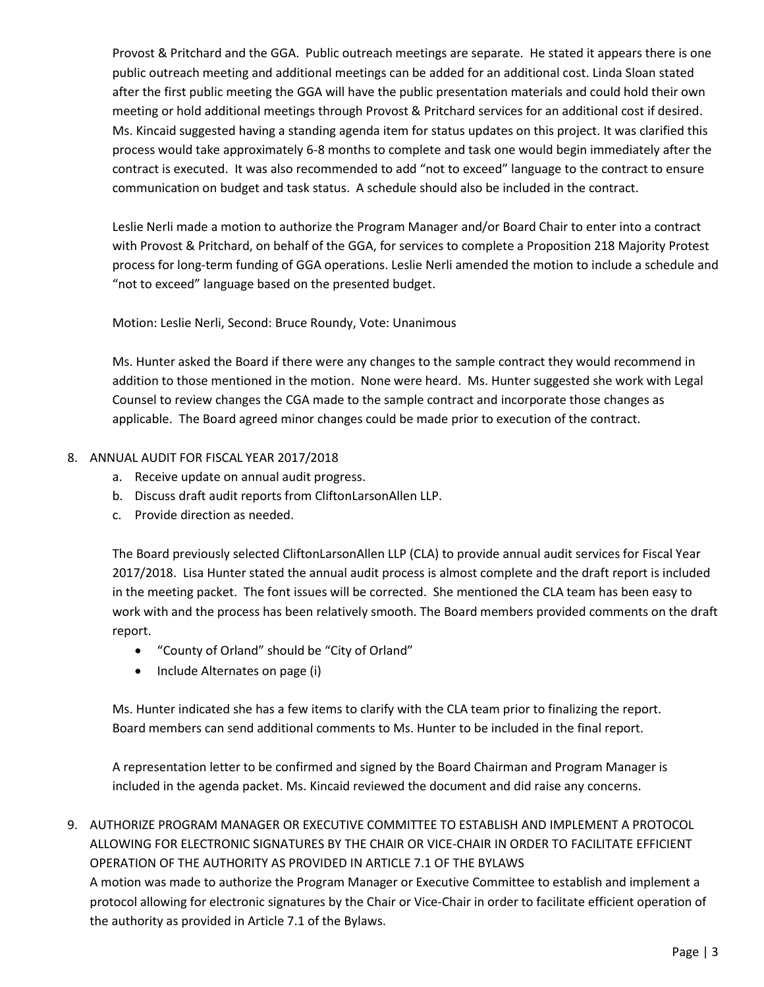Provost & Pritchard and the GGA. Public outreach meetings are separate. He stated it appears there is one public outreach meeting and additional meetings can be added for an additional cost. Linda Sloan stated after the first public meeting the GGA will have the public presentation materials and could hold their own meeting or hold additional meetings through Provost & Pritchard services for an additional cost if desired. Ms. Kincaid suggested having a standing agenda item for status updates on this project. It was clarified this process would take approximately 6-8 months to complete and task one would begin immediately after the contract is executed. It was also recommended to add "not to exceed" language to the contract to ensure communication on budget and task status. A schedule should also be included in the contract.

Leslie Nerli made a motion to authorize the Program Manager and/or Board Chair to enter into a contract with Provost & Pritchard, on behalf of the GGA, for services to complete a Proposition 218 Majority Protest process for long-term funding of GGA operations. Leslie Nerli amended the motion to include a schedule and "not to exceed" language based on the presented budget.

Motion: Leslie Nerli, Second: Bruce Roundy, Vote: Unanimous

Ms. Hunter asked the Board if there were any changes to the sample contract they would recommend in addition to those mentioned in the motion. None were heard. Ms. Hunter suggested she work with Legal Counsel to review changes the CGA made to the sample contract and incorporate those changes as applicable. The Board agreed minor changes could be made prior to execution of the contract.

# 8. ANNUAL AUDIT FOR FISCAL YEAR 2017/2018

- a. Receive update on annual audit progress.
- b. Discuss draft audit reports from CliftonLarsonAllen LLP.
- c. Provide direction as needed.

The Board previously selected CliftonLarsonAllen LLP (CLA) to provide annual audit services for Fiscal Year 2017/2018. Lisa Hunter stated the annual audit process is almost complete and the draft report is included in the meeting packet. The font issues will be corrected. She mentioned the CLA team has been easy to work with and the process has been relatively smooth. The Board members provided comments on the draft report.

- "County of Orland" should be "City of Orland"
- Include Alternates on page (i)

Ms. Hunter indicated she has a few items to clarify with the CLA team prior to finalizing the report. Board members can send additional comments to Ms. Hunter to be included in the final report.

A representation letter to be confirmed and signed by the Board Chairman and Program Manager is included in the agenda packet. Ms. Kincaid reviewed the document and did raise any concerns.

9. AUTHORIZE PROGRAM MANAGER OR EXECUTIVE COMMITTEE TO ESTABLISH AND IMPLEMENT A PROTOCOL ALLOWING FOR ELECTRONIC SIGNATURES BY THE CHAIR OR VICE-CHAIR IN ORDER TO FACILITATE EFFICIENT OPERATION OF THE AUTHORITY AS PROVIDED IN ARTICLE 7.1 OF THE BYLAWS A motion was made to authorize the Program Manager or Executive Committee to establish and implement a protocol allowing for electronic signatures by the Chair or Vice-Chair in order to facilitate efficient operation of the authority as provided in Article 7.1 of the Bylaws.